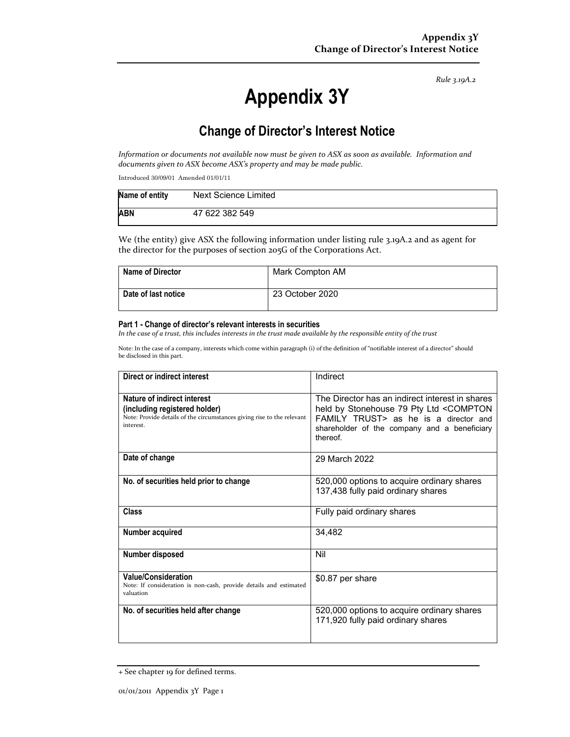*Rule 3.19A.2*

# **Appendix 3Y**

## **Change of Director's Interest Notice**

Information or documents not available now must be given to ASX as soon as available. Information and *documents given to ASX become ASX's property and may be made public.*

Introduced 30/09/01 Amended 01/01/11

| Name of entity | Next Science Limited |
|----------------|----------------------|
| <b>ABN</b>     | 47 622 382 549       |

We (the entity) give ASX the following information under listing rule 3.19A.2 and as agent for the director for the purposes of section 205G of the Corporations Act.

| <b>Name of Director</b> | Mark Compton AM |
|-------------------------|-----------------|
| Date of last notice     | 23 October 2020 |

#### **Part 1 - Change of director's relevant interests in securities**

In the case of a trust, this includes interests in the trust made available by the responsible entity of the trust

Note: In the case of a company, interests which come within paragraph (i) of the definition of "notifiable interest of a director" should be disclosed in this part.

| Direct or indirect interest                                                                                                                         | Indirect                                                                                                                                                                                        |  |
|-----------------------------------------------------------------------------------------------------------------------------------------------------|-------------------------------------------------------------------------------------------------------------------------------------------------------------------------------------------------|--|
| Nature of indirect interest<br>(including registered holder)<br>Note: Provide details of the circumstances giving rise to the relevant<br>interest. | The Director has an indirect interest in shares<br>held by Stonehouse 79 Pty Ltd < COMPTON<br>FAMILY TRUST> as he is a director and<br>shareholder of the company and a beneficiary<br>thereof. |  |
| Date of change                                                                                                                                      | 29 March 2022                                                                                                                                                                                   |  |
| No. of securities held prior to change                                                                                                              | 520,000 options to acquire ordinary shares<br>137,438 fully paid ordinary shares                                                                                                                |  |
| Class                                                                                                                                               | Fully paid ordinary shares                                                                                                                                                                      |  |
| Number acquired                                                                                                                                     | 34,482                                                                                                                                                                                          |  |
| Number disposed                                                                                                                                     | Nil                                                                                                                                                                                             |  |
| Value/Consideration<br>Note: If consideration is non-cash, provide details and estimated<br>valuation                                               | \$0.87 per share                                                                                                                                                                                |  |
| No. of securities held after change                                                                                                                 | 520,000 options to acquire ordinary shares<br>171,920 fully paid ordinary shares                                                                                                                |  |

<sup>+</sup> See chapter 19 for defined terms.